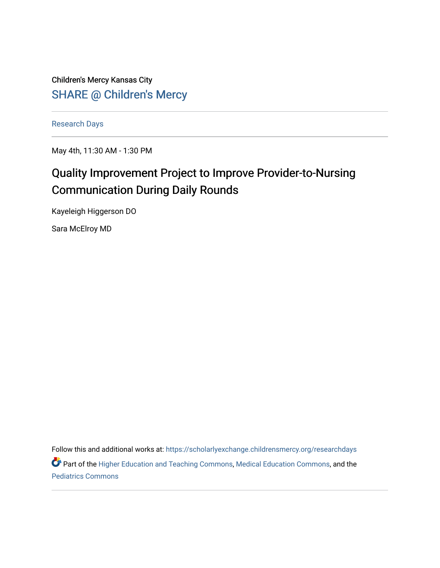Children's Mercy Kansas City SHARE @ Children's Mercy

[Research Days](https://scholarlyexchange.childrensmercy.org/researchdays)

May 4th, 11:30 AM - 1:30 PM

# Quality Improvement Project to Improve Provider-to-Nursing Communication During Daily Rounds

Kayeleigh Higgerson DO

Sara McElroy MD

Follow this and additional works at: [https://scholarlyexchange.childrensmercy.org/researchdays](https://scholarlyexchange.childrensmercy.org/researchdays?utm_source=scholarlyexchange.childrensmercy.org%2Fresearchdays%2FGME_Research_Days_2021%2Fresearchday1%2F1&utm_medium=PDF&utm_campaign=PDFCoverPages) 

Part of the [Higher Education and Teaching Commons](http://network.bepress.com/hgg/discipline/806?utm_source=scholarlyexchange.childrensmercy.org%2Fresearchdays%2FGME_Research_Days_2021%2Fresearchday1%2F1&utm_medium=PDF&utm_campaign=PDFCoverPages), [Medical Education Commons](http://network.bepress.com/hgg/discipline/1125?utm_source=scholarlyexchange.childrensmercy.org%2Fresearchdays%2FGME_Research_Days_2021%2Fresearchday1%2F1&utm_medium=PDF&utm_campaign=PDFCoverPages), and the [Pediatrics Commons](http://network.bepress.com/hgg/discipline/700?utm_source=scholarlyexchange.childrensmercy.org%2Fresearchdays%2FGME_Research_Days_2021%2Fresearchday1%2F1&utm_medium=PDF&utm_campaign=PDFCoverPages)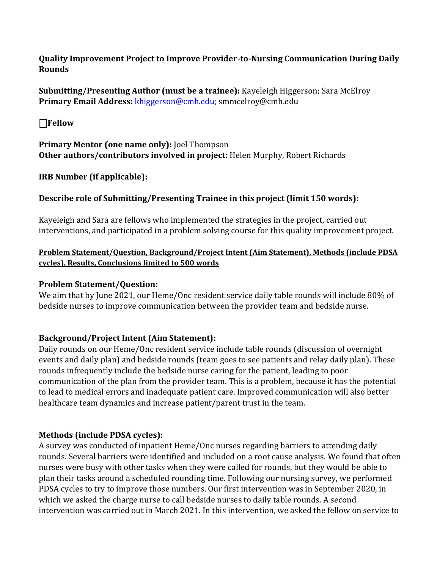**Quality Improvement Project to Improve Provider-to-Nursing Communication During Daily Rounds**

**Submitting/Presenting Author (must be a trainee):** Kayeleigh Higgerson; Sara McElroy **Primary Email Address:** [khiggerson@cmh.edu;](mailto:khiggerson@cmh.edu) smmcelroy@cmh.edu

⎕**Fellow** 

**Primary Mentor (one name only):** Joel Thompson **Other authors/contributors involved in project:** Helen Murphy, Robert Richards

**IRB Number (if applicable):**

## **Describe role of Submitting/Presenting Trainee in this project (limit 150 words):**

Kayeleigh and Sara are fellows who implemented the strategies in the project, carried out interventions, and participated in a problem solving course for this quality improvement project.

## **Problem Statement/Question, Background/Project Intent (Aim Statement), Methods (include PDSA cycles), Results, Conclusions limited to 500 words**

#### **Problem Statement/Question:**

We aim that by June 2021, our Heme/Onc resident service daily table rounds will include 80% of bedside nurses to improve communication between the provider team and bedside nurse.

### **Background/Project Intent (Aim Statement):**

Daily rounds on our Heme/Onc resident service include table rounds (discussion of overnight events and daily plan) and bedside rounds (team goes to see patients and relay daily plan). These rounds infrequently include the bedside nurse caring for the patient, leading to poor communication of the plan from the provider team. This is a problem, because it has the potential to lead to medical errors and inadequate patient care. Improved communication will also better healthcare team dynamics and increase patient/parent trust in the team.

### **Methods (include PDSA cycles):**

A survey was conducted of inpatient Heme/Onc nurses regarding barriers to attending daily rounds. Several barriers were identified and included on a root cause analysis. We found that often nurses were busy with other tasks when they were called for rounds, but they would be able to plan their tasks around a scheduled rounding time. Following our nursing survey, we performed PDSA cycles to try to improve those numbers. Our first intervention was in September 2020, in which we asked the charge nurse to call bedside nurses to daily table rounds. A second intervention was carried out in March 2021. In this intervention, we asked the fellow on service to